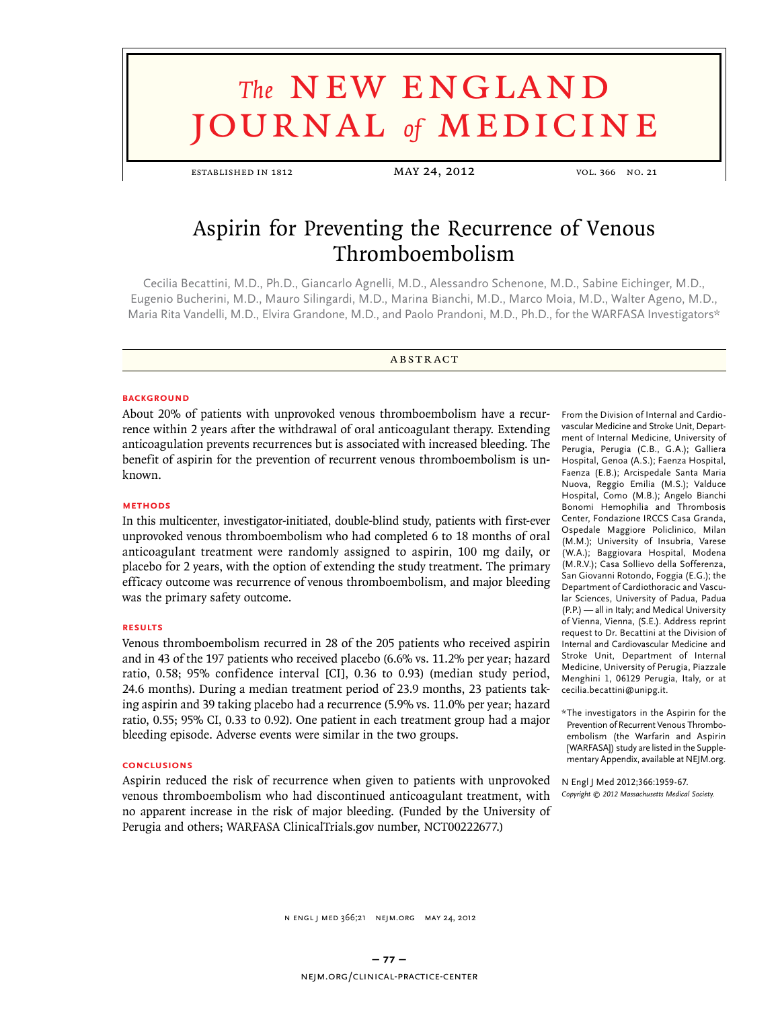# **The NEW ENGLAND URNAL** of **MEDICINE**

established in 1812 may 24, 2012 vol. 366 no. 21

# Aspirin for Preventing the Recurrence of Venous Thromboembolism

Cecilia Becattini, M.D., Ph.D., Giancarlo Agnelli, M.D., Alessandro Schenone, M.D., Sabine Eichinger, M.D., Eugenio Bucherini, M.D., Mauro Silingardi, M.D., Marina Bianchi, M.D., Marco Moia, M.D., Walter Ageno, M.D., Maria Rita Vandelli, M.D., Elvira Grandone, M.D., and Paolo Prandoni, M.D., Ph.D., for the WARFASA Investigators\*

#### **ABSTRACT**

#### **BACKGROUND**

About 20% of patients with unprovoked venous thromboembolism have a recurrence within 2 years after the withdrawal of oral anticoagulant therapy. Extending anticoagulation prevents recurrences but is associated with increased bleeding. The benefit of aspirin for the prevention of recurrent venous thromboembolism is unknown.

#### **Methods**

In this multicenter, investigator-initiated, double-blind study, patients with first-ever unprovoked venous thromboembolism who had completed 6 to 18 months of oral anticoagulant treatment were randomly assigned to aspirin, 100 mg daily, or placebo for 2 years, with the option of extending the study treatment. The primary efficacy outcome was recurrence of venous thromboembolism, and major bleeding was the primary safety outcome.

#### **Results**

Venous thromboembolism recurred in 28 of the 205 patients who received aspirin and in 43 of the 197 patients who received placebo (6.6% vs. 11.2% per year; hazard ratio, 0.58; 95% confidence interval [CI], 0.36 to 0.93) (median study period, 24.6 months). During a median treatment period of 23.9 months, 23 patients taking aspirin and 39 taking placebo had a recurrence (5.9% vs. 11.0% per year; hazard ratio, 0.55; 95% CI, 0.33 to 0.92). One patient in each treatment group had a major bleeding episode. Adverse events were similar in the two groups.

#### **Conclusions**

Aspirin reduced the risk of recurrence when given to patients with unprovoked venous thromboembolism who had discontinued anticoagulant treatment, with no apparent increase in the risk of major bleeding. (Funded by the University of Perugia and others; WARFASA ClinicalTrials.gov number, NCT00222677.)

From the Division of Internal and Cardiovascular Medicine and Stroke Unit, Department of Internal Medicine, University of Perugia, Perugia (C.B., G.A.); Galliera Hospital, Genoa (A.S.); Faenza Hospital, Faenza (E.B.); Arcispedale Santa Maria Nuova, Reggio Emilia (M.S.); Valduce Hospital, Como (M.B.); Angelo Bianchi Bonomi Hemophilia and Thrombosis Center, Fondazione IRCCS Casa Granda, Ospedale Maggiore Policlinico, Milan (M.M.); University of Insubria, Varese (W.A.); Baggiovara Hospital, Modena (M.R.V.); Casa Sollievo della Sofferenza, San Giovanni Rotondo, Foggia (E.G.); the Department of Cardiothoracic and Vascular Sciences, University of Padua, Padua (P.P.) — all in Italy; and Medical University of Vienna, Vienna, (S.E.). Address reprint request to Dr. Becattini at the Division of Internal and Cardiovascular Medicine and Stroke Unit, Department of Internal Medicine, University of Perugia, Piazzale Menghini 1, 06129 Perugia, Italy, or at cecilia.becattini@unipg.it.

\* The investigators in the Aspirin for the Prevention of Recurrent Venous Thromboembolism (the Warfarin and Aspirin [WARFASA]) study are listed in the Supplementary Appendix, available at NEJM.org.

N Engl J Med 2012;366:1959-67. *Copyright © 2012 Massachusetts Medical Society.*

N ENGL J MED 366;21 NEJM.ORG MAY 24, 2012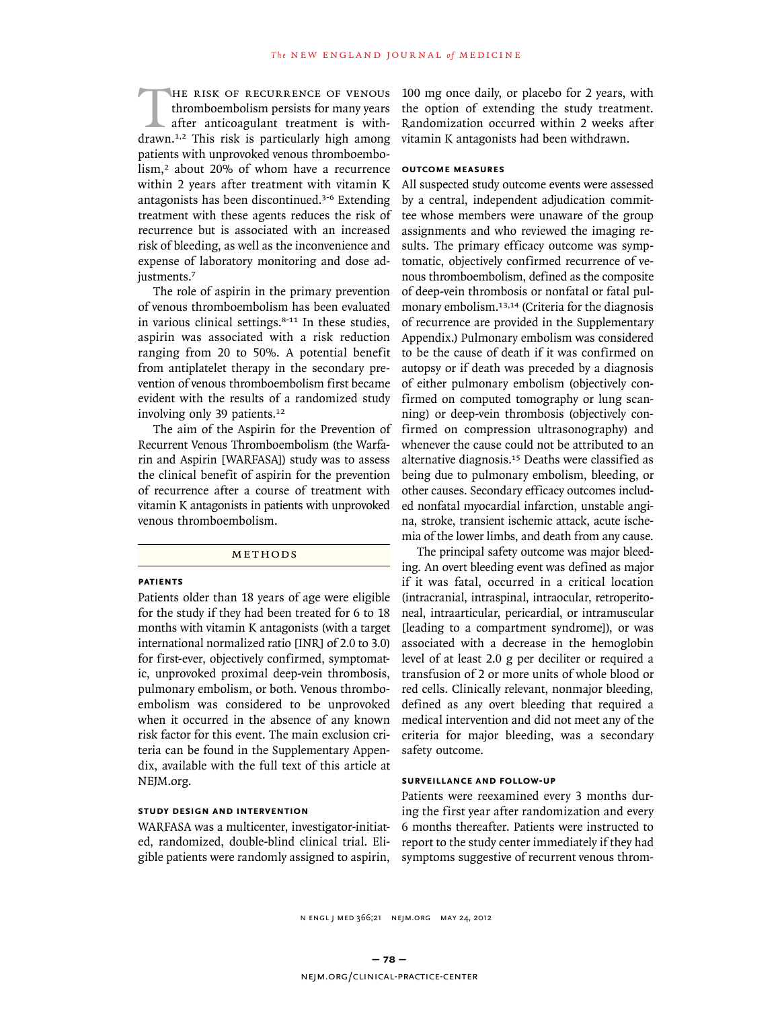HE RISK OF RECURRENCE OF VENOUS<br>thromboembolism persists for many years<br>after anticoagulant treatment is with-<br>drawn.<sup>1,2</sup> This risk is particularly high among thromboembolism persists for many years after anticoagulant treatment is withdrawn.1,2 This risk is particularly high among patients with unprovoked venous thromboembolism,<sup>2</sup> about 20% of whom have a recurrence within 2 years after treatment with vitamin K antagonists has been discontinued.3-6 Extending treatment with these agents reduces the risk of recurrence but is associated with an increased risk of bleeding, as well as the inconvenience and expense of laboratory monitoring and dose adjustments.<sup>7</sup>

The role of aspirin in the primary prevention of venous thromboembolism has been evaluated in various clinical settings.<sup>8-11</sup> In these studies, aspirin was associated with a risk reduction ranging from 20 to 50%. A potential benefit from antiplatelet therapy in the secondary prevention of venous thromboembolism first became evident with the results of a randomized study involving only 39 patients.<sup>12</sup>

The aim of the Aspirin for the Prevention of Recurrent Venous Thromboembolism (the Warfarin and Aspirin [WARFASA]) study was to assess the clinical benefit of aspirin for the prevention of recurrence after a course of treatment with vitamin K antagonists in patients with unprovoked venous thromboembolism.

#### METHODS

#### **Patients**

Patients older than 18 years of age were eligible for the study if they had been treated for 6 to 18 months with vitamin K antagonists (with a target international normalized ratio [INR] of 2.0 to 3.0) for first-ever, objectively confirmed, symptomatic, unprovoked proximal deep-vein thrombosis, pulmonary embolism, or both. Venous thromboembolism was considered to be unprovoked when it occurred in the absence of any known risk factor for this event. The main exclusion criteria can be found in the Supplementary Appendix, available with the full text of this article at NEJM.org.

## **Study Design and Intervention**

WARFASA was a multicenter, investigator-initiated, randomized, double-blind clinical trial. Eligible patients were randomly assigned to aspirin,

100 mg once daily, or placebo for 2 years, with the option of extending the study treatment. Randomization occurred within 2 weeks after vitamin K antagonists had been withdrawn.

# **Outcome Measures**

All suspected study outcome events were assessed by a central, independent adjudication committee whose members were unaware of the group assignments and who reviewed the imaging results. The primary efficacy outcome was symptomatic, objectively confirmed recurrence of venous thromboembolism, defined as the composite of deep-vein thrombosis or nonfatal or fatal pulmonary embolism.13,14 (Criteria for the diagnosis of recurrence are provided in the Supplementary Appendix.) Pulmonary embolism was considered to be the cause of death if it was confirmed on autopsy or if death was preceded by a diagnosis of either pulmonary embolism (objectively confirmed on computed tomography or lung scanning) or deep-vein thrombosis (objectively confirmed on compression ultrasonography) and whenever the cause could not be attributed to an alternative diagnosis.<sup>15</sup> Deaths were classified as being due to pulmonary embolism, bleeding, or other causes. Secondary efficacy outcomes included nonfatal myocardial infarction, unstable angina, stroke, transient ischemic attack, acute ischemia of the lower limbs, and death from any cause.

The principal safety outcome was major bleeding. An overt bleeding event was defined as major if it was fatal, occurred in a critical location (intracranial, intraspinal, intraocular, retroperitoneal, intraarticular, pericardial, or intramuscular [leading to a compartment syndrome]), or was associated with a decrease in the hemoglobin level of at least 2.0 g per deciliter or required a transfusion of 2 or more units of whole blood or red cells. Clinically relevant, nonmajor bleeding, defined as any overt bleeding that required a medical intervention and did not meet any of the criteria for major bleeding, was a secondary safety outcome.

#### **Surveillance and Follow-up**

Patients were reexamined every 3 months during the first year after randomization and every 6 months thereafter. Patients were instructed to report to the study center immediately if they had symptoms suggestive of recurrent venous throm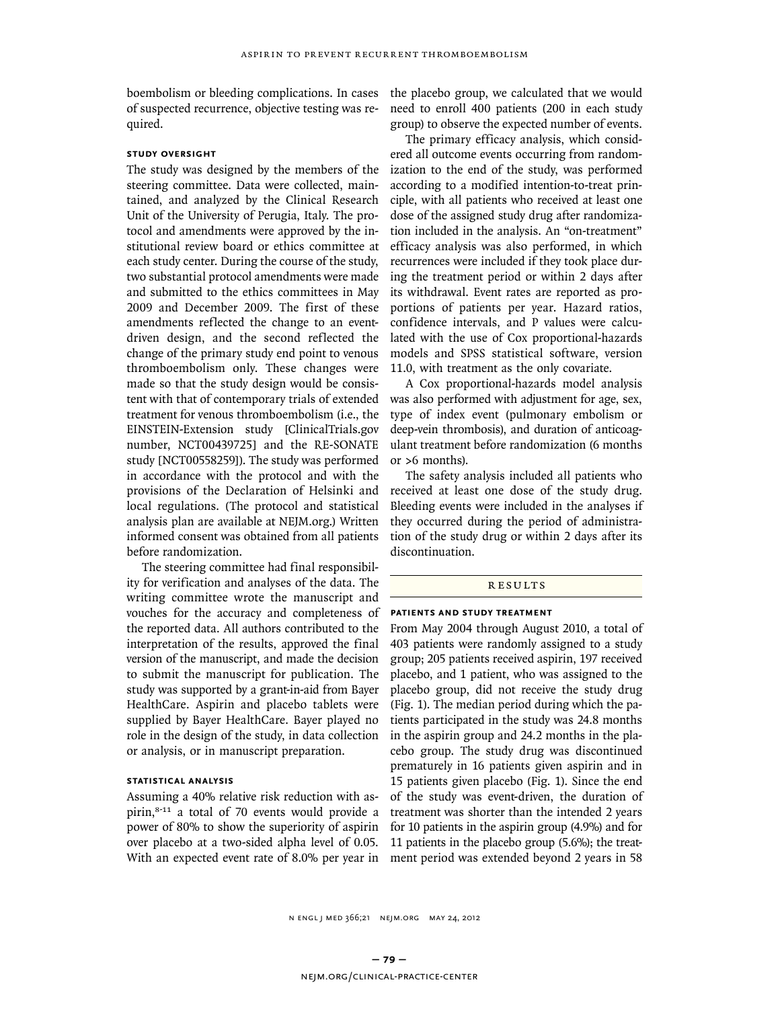boembolism or bleeding complications. In cases of suspected recurrence, objective testing was required.

#### **Study Oversight**

The study was designed by the members of the steering committee. Data were collected, maintained, and analyzed by the Clinical Research Unit of the University of Perugia, Italy. The protocol and amendments were approved by the institutional review board or ethics committee at each study center. During the course of the study, two substantial protocol amendments were made and submitted to the ethics committees in May 2009 and December 2009. The first of these amendments reflected the change to an eventdriven design, and the second reflected the change of the primary study end point to venous thromboembolism only. These changes were made so that the study design would be consistent with that of contemporary trials of extended treatment for venous thromboembolism (i.e., the EINSTEIN-Extension study [ClinicalTrials.gov number, NCT00439725] and the RE-SONATE study [NCT00558259]). The study was performed in accordance with the protocol and with the provisions of the Declaration of Helsinki and local regulations. (The protocol and statistical analysis plan are available at NEJM.org.) Written informed consent was obtained from all patients before randomization.

The steering committee had final responsibility for verification and analyses of the data. The writing committee wrote the manuscript and vouches for the accuracy and completeness of the reported data. All authors contributed to the interpretation of the results, approved the final version of the manuscript, and made the decision to submit the manuscript for publication. The study was supported by a grant-in-aid from Bayer HealthCare. Aspirin and placebo tablets were supplied by Bayer HealthCare. Bayer played no role in the design of the study, in data collection or analysis, or in manuscript preparation.

#### **Statistical Analysis**

Assuming a 40% relative risk reduction with aspirin,<sup>8-11</sup> a total of 70 events would provide a power of 80% to show the superiority of aspirin over placebo at a two-sided alpha level of 0.05. With an expected event rate of 8.0% per year in ment period was extended beyond 2 years in 58

the placebo group, we calculated that we would need to enroll 400 patients (200 in each study group) to observe the expected number of events.

The primary efficacy analysis, which considered all outcome events occurring from randomization to the end of the study, was performed according to a modified intention-to-treat principle, with all patients who received at least one dose of the assigned study drug after randomization included in the analysis. An "on-treatment" efficacy analysis was also performed, in which recurrences were included if they took place during the treatment period or within 2 days after its withdrawal. Event rates are reported as proportions of patients per year. Hazard ratios, confidence intervals, and P values were calculated with the use of Cox proportional-hazards models and SPSS statistical software, version 11.0, with treatment as the only covariate.

A Cox proportional-hazards model analysis was also performed with adjustment for age, sex, type of index event (pulmonary embolism or deep-vein thrombosis), and duration of anticoagulant treatment before randomization (6 months or >6 months).

The safety analysis included all patients who received at least one dose of the study drug. Bleeding events were included in the analyses if they occurred during the period of administration of the study drug or within 2 days after its discontinuation.

#### **RESULTS**

#### **Patients and Study Treatment**

From May 2004 through August 2010, a total of 403 patients were randomly assigned to a study group; 205 patients received aspirin, 197 received placebo, and 1 patient, who was assigned to the placebo group, did not receive the study drug (Fig. 1). The median period during which the patients participated in the study was 24.8 months in the aspirin group and 24.2 months in the placebo group. The study drug was discontinued prematurely in 16 patients given aspirin and in 15 patients given placebo (Fig. 1). Since the end of the study was event-driven, the duration of treatment was shorter than the intended 2 years for 10 patients in the aspirin group (4.9%) and for 11 patients in the placebo group (5.6%); the treat-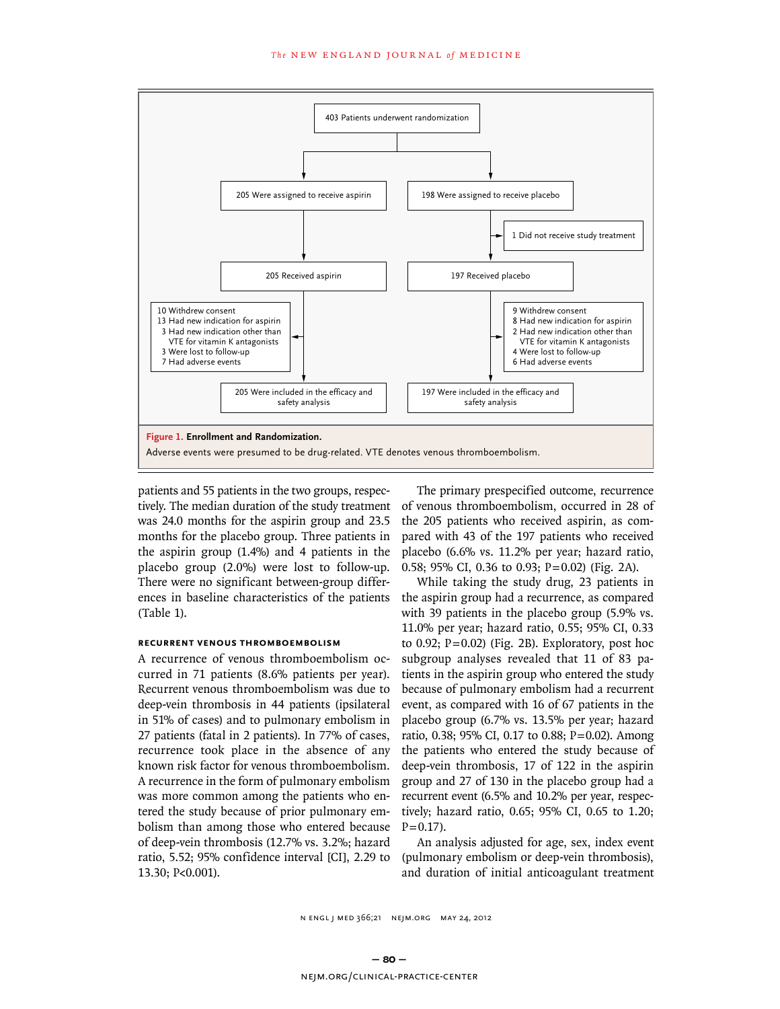

patients and 55 patients in the two groups, respectively. The median duration of the study treatment was 24.0 months for the aspirin group and 23.5 months for the placebo group. Three patients in the aspirin group (1.4%) and 4 patients in the placebo group (2.0%) were lost to follow-up. There were no significant between-group differences in baseline characteristics of the patients (Table 1).

# **Recurrent Venous Thromboembolism**

A recurrence of venous thromboembolism occurred in 71 patients (8.6% patients per year). Recurrent venous thromboembolism was due to deep-vein thrombosis in 44 patients (ipsilateral in 51% of cases) and to pulmonary embolism in 27 patients (fatal in 2 patients). In 77% of cases, recurrence took place in the absence of any known risk factor for venous thromboembolism. A recurrence in the form of pulmonary embolism was more common among the patients who entered the study because of prior pulmonary embolism than among those who entered because of deep-vein thrombosis (12.7% vs. 3.2%; hazard ratio, 5.52; 95% confidence interval [CI], 2.29 to 13.30; P<0.001).

The primary prespecified outcome, recurrence of venous thromboembolism, occurred in 28 of the 205 patients who received aspirin, as compared with 43 of the 197 patients who received placebo (6.6% vs. 11.2% per year; hazard ratio, 0.58; 95% CI, 0.36 to 0.93; P=0.02) (Fig. 2A).

While taking the study drug, 23 patients in the aspirin group had a recurrence, as compared with 39 patients in the placebo group (5.9% vs. 11.0% per year; hazard ratio, 0.55; 95% CI, 0.33 to 0.92;  $P = 0.02$ ) (Fig. 2B). Exploratory, post hoc subgroup analyses revealed that 11 of 83 patients in the aspirin group who entered the study because of pulmonary embolism had a recurrent event, as compared with 16 of 67 patients in the placebo group (6.7% vs. 13.5% per year; hazard ratio, 0.38; 95% CI, 0.17 to 0.88; P=0.02). Among the patients who entered the study because of deep-vein thrombosis, 17 of 122 in the aspirin group and 27 of 130 in the placebo group had a recurrent event (6.5% and 10.2% per year, respectively; hazard ratio, 0.65; 95% CI, 0.65 to 1.20;  $P = 0.17$ ).

An analysis adjusted for age, sex, index event (pulmonary embolism or deep-vein thrombosis), and duration of initial anticoagulant treatment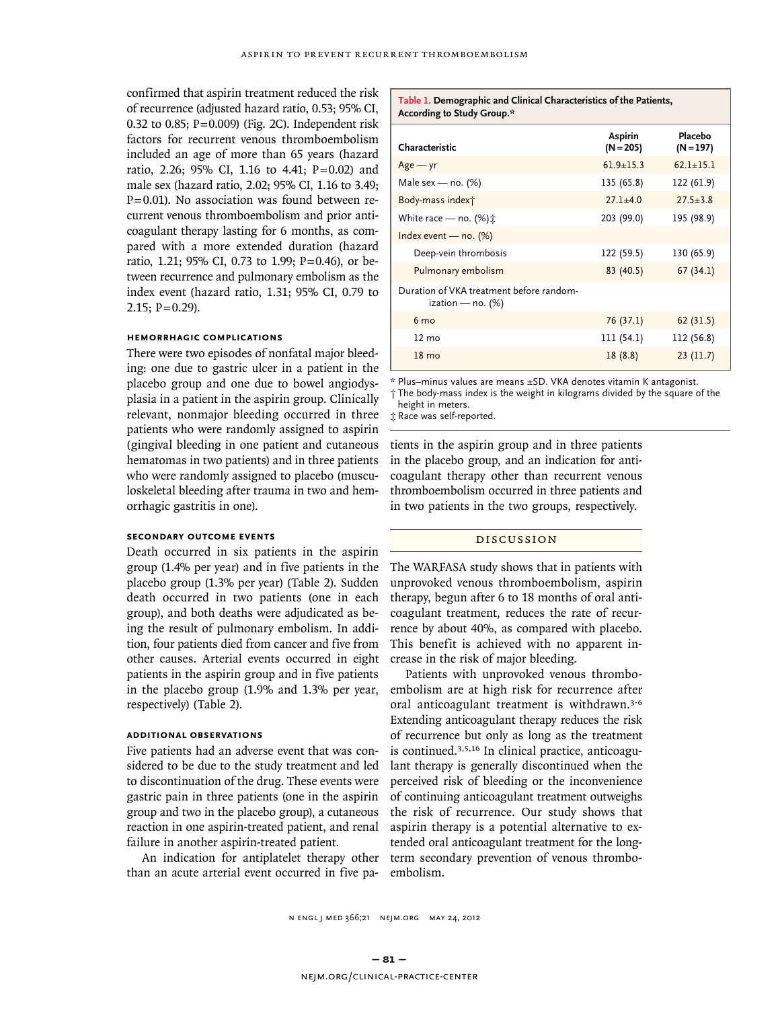confirmed that aspirin treatment reduced the risk of recurrence (adjusted hazard ratio, 0.53; 95% CI, 0.32 to 0.85;  $P = 0.009$ ) (Fig. 2C). Independent risk factors for recurrent venous thromboembolism included an age of more than 65 years (hazard ratio, 2.26; 95% CI, 1.16 to 4.41;  $P=0.02$ ) and male sex (hazard ratio, 2.02; 95% CI, 1.16 to 3.49;  $P = 0.01$ ). No association was found between recurrent venous thromboembolism and prior anticoagulant therapy lasting for 6 months, as compared with a more extended duration (hazard ratio, 1.21; 95% CI, 0.73 to 1.99; P=0.46), or between recurrence and pulmonary embolism as the index event (hazard ratio, 1.31; 95% CI, 0.79 to  $2.15$ ; P = 0.29).

# **Hemorrhagic Complications**

There were two episodes of nonfatal major bleeding: one due to gastric ulcer in a patient in the placebo group and one due to bowel angiodysplasia in a patient in the aspirin group. Clinically relevant, nonmajor bleeding occurred in three patients who were randomly assigned to aspirin (gingival bleeding in one patient and cutaneous hematomas in two patients) and in three patients who were randomly assigned to placebo (musculoskeletal bleeding after trauma in two and hemorrhagic gastritis in one).

# **Secondary Outcome Events**

Death occurred in six patients in the aspirin group (1.4% per year) and in five patients in the placebo group (1.3% per year) (Table 2). Sudden death occurred in two patients (one in each group), and both deaths were adjudicated as being the result of pulmonary embolism. In addition, four patients died from cancer and five from other causes. Arterial events occurred in eight patients in the aspirin group and in five patients in the placebo group (1.9% and 1.3% per year, respectively) (Table 2).

# **Additional Observations**

Five patients had an adverse event that was considered to be due to the study treatment and led to discontinuation of the drug. These events were gastric pain in three patients (one in the aspirin group and two in the placebo group), a cutaneous reaction in one aspirin-treated patient, and renal failure in another aspirin-treated patient.

An indication for antiplatelet therapy other than an acute arterial event occurred in five pa-

#### **Table 1. Demographic and Clinical Characteristics of the Patients, According to Study Group.\***

| Characteristic                                                   | Aspirin<br>$(N = 205)$ | Placebo<br>(N = 197) |
|------------------------------------------------------------------|------------------------|----------------------|
| $Age - yr$                                                       | $61.9 + 15.3$          | $62.1 + 15.1$        |
| Male sex - no. $(\%)$                                            | 135 (65.8)             | 122 (61.9)           |
| Body-mass index†                                                 | $27.1 + 4.0$           | $27.5 + 3.8$         |
| White race — no. $(\%)\dot{\chi}$                                | 203 (99.0)             | 195 (98.9)           |
| Index event — no. $(\%)$                                         |                        |                      |
| Deep-vein thrombosis                                             | 122 (59.5)             | 130 (65.9)           |
| Pulmonary embolism                                               | 83 (40.5)              | 67(34.1)             |
| Duration of VKA treatment before random-<br>ization — no. $(\%)$ |                        |                      |
| 6 <sub>mo</sub>                                                  | 76 (37.1)              | 62(31.5)             |
| $12 \text{ mo}$                                                  | 111 (54.1)             | 112 (56.8)           |
| $18 \text{ mo}$                                                  | 18(8.8)                | 23(11.7)             |

\* Plus–minus values are means ±SD. VKA denotes vitamin K antagonist. † The body-mass index is the weight in kilograms divided by the square of the height in meters.

‡ Race was self-reported.

tients in the aspirin group and in three patients in the placebo group, and an indication for anticoagulant therapy other than recurrent venous thromboembolism occurred in three patients and in two patients in the two groups, respectively.

# Discussion

The WARFASA study shows that in patients with unprovoked venous thromboembolism, aspirin therapy, begun after 6 to 18 months of oral anticoagulant treatment, reduces the rate of recurrence by about 40%, as compared with placebo. This benefit is achieved with no apparent increase in the risk of major bleeding.

Patients with unprovoked venous thromboembolism are at high risk for recurrence after oral anticoagulant treatment is withdrawn.3-6 Extending anticoagulant therapy reduces the risk of recurrence but only as long as the treatment is continued.3,5,16 In clinical practice, anticoagulant therapy is generally discontinued when the perceived risk of bleeding or the inconvenience of continuing anticoagulant treatment outweighs the risk of recurrence. Our study shows that aspirin therapy is a potential alternative to extended oral anticoagulant treatment for the longterm secondary prevention of venous thromboembolism.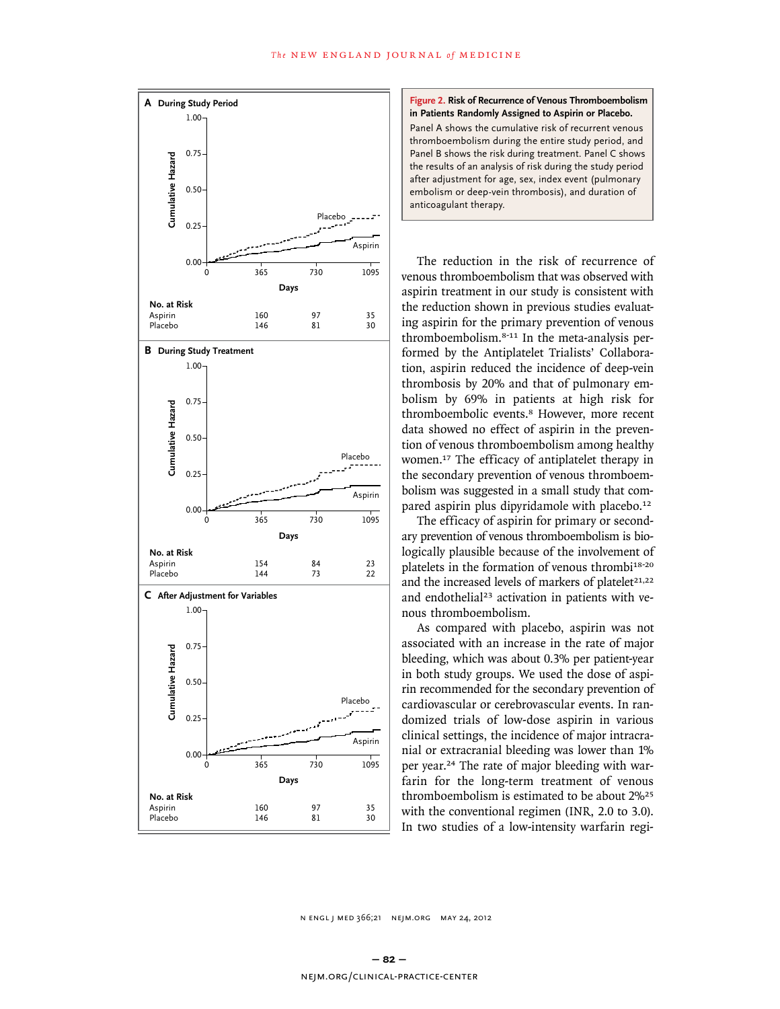

#### **Figure 2. Risk of Recurrence of Venous Thromboembolism in Patients Randomly Assigned to Aspirin or Placebo.**

Panel A shows the cumulative risk of recurrent venous thromboembolism during the entire study period, and Panel B shows the risk during treatment. Panel C shows the results of an analysis of risk during the study period after adjustment for age, sex, index event (pulmonary embolism or deep-vein thrombosis), and duration of anticoagulant therapy.

The reduction in the risk of recurrence of venous thromboembolism that was observed with aspirin treatment in our study is consistent with the reduction shown in previous studies evaluating aspirin for the primary prevention of venous thromboembolism.8-11 In the meta-analysis performed by the Antiplatelet Trialists' Collaboration, aspirin reduced the incidence of deep-vein thrombosis by 20% and that of pulmonary embolism by 69% in patients at high risk for thromboembolic events.<sup>8</sup> However, more recent data showed no effect of aspirin in the prevention of venous thromboembolism among healthy women.<sup>17</sup> The efficacy of antiplatelet therapy in the secondary prevention of venous thromboembolism was suggested in a small study that compared aspirin plus dipyridamole with placebo.<sup>12</sup>

The efficacy of aspirin for primary or secondary prevention of venous thromboembolism is biologically plausible because of the involvement of platelets in the formation of venous thrombi<sup>18-20</sup> and the increased levels of markers of platelet<sup>21,22</sup> and endothelial<sup>23</sup> activation in patients with venous thromboembolism.

As compared with placebo, aspirin was not associated with an increase in the rate of major bleeding, which was about 0.3% per patient-year in both study groups. We used the dose of aspirin recommended for the secondary prevention of cardiovascular or cerebrovascular events. In randomized trials of low-dose aspirin in various clinical settings, the incidence of major intracranial or extracranial bleeding was lower than 1% per year.24 The rate of major bleeding with warfarin for the long-term treatment of venous thromboembolism is estimated to be about 2%<sup>25</sup> with the conventional regimen (INR, 2.0 to 3.0). In two studies of a low-intensity warfarin regi-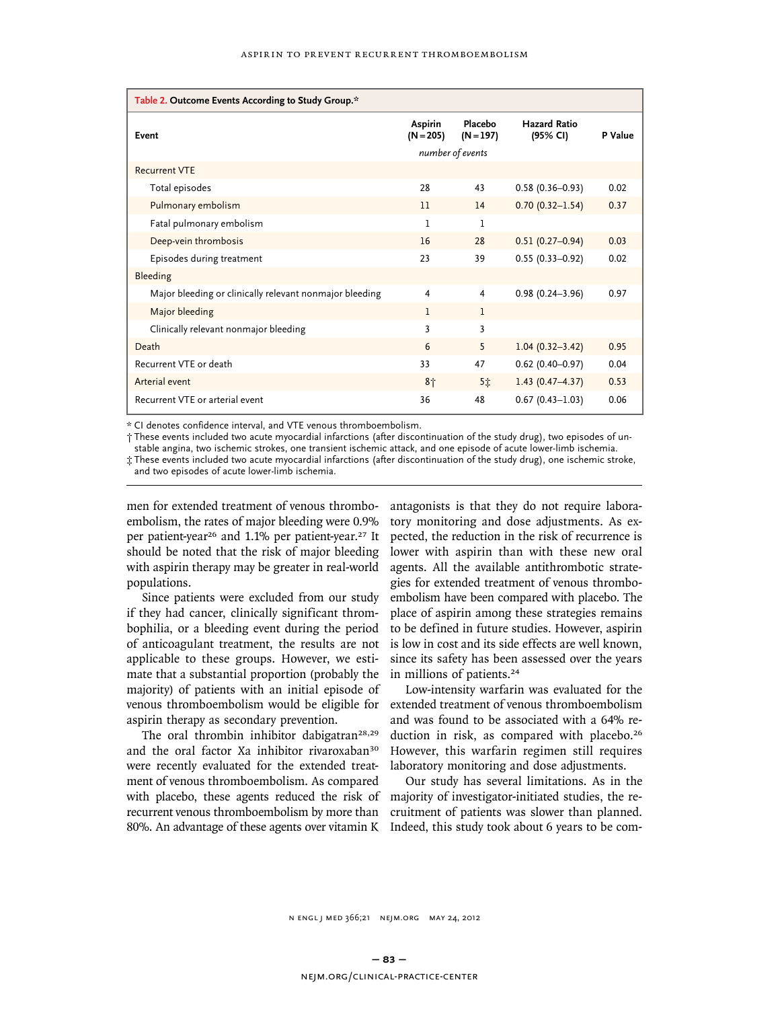| Table 2. Outcome Events According to Study Group.*      |                               |                        |                                 |         |
|---------------------------------------------------------|-------------------------------|------------------------|---------------------------------|---------|
| Event                                                   | <b>Aspirin</b><br>$(N = 205)$ | Placebo<br>$(N = 197)$ | <b>Hazard Ratio</b><br>(95% CI) | P Value |
|                                                         |                               | number of events       |                                 |         |
| <b>Recurrent VTE</b>                                    |                               |                        |                                 |         |
| Total episodes                                          | 28                            | 43                     | $0.58(0.36 - 0.93)$             | 0.02    |
| Pulmonary embolism                                      | 11                            | 14                     | $0.70(0.32 - 1.54)$             | 0.37    |
| Fatal pulmonary embolism                                | 1                             | 1                      |                                 |         |
| Deep-vein thrombosis                                    | 16                            | 28                     | $0.51(0.27 - 0.94)$             | 0.03    |
| Episodes during treatment                               | 23                            | 39                     | $0.55(0.33 - 0.92)$             | 0.02    |
| Bleeding                                                |                               |                        |                                 |         |
| Major bleeding or clinically relevant nonmajor bleeding | 4                             | 4                      | $0.98(0.24 - 3.96)$             | 0.97    |
| Major bleeding                                          | $\mathbf{1}$                  | 1                      |                                 |         |
| Clinically relevant nonmajor bleeding                   | 3                             | 3                      |                                 |         |
| Death                                                   | 6                             | 5                      | $1.04(0.32 - 3.42)$             | 0.95    |
| Recurrent VTE or death                                  | 33                            | 47                     | $0.62$ (0.40-0.97)              | 0.04    |
| Arterial event                                          | 8 <sub>1</sub>                | 5全                     | $1.43(0.47 - 4.37)$             | 0.53    |
| Recurrent VTE or arterial event                         | 36                            | 48                     | $0.67(0.43 - 1.03)$             | 0.06    |

\* CI denotes confidence interval, and VTE venous thromboembolism.

† These events included two acute myocardial infarctions (after discontinuation of the study drug), two episodes of un-

stable angina, two ischemic strokes, one transient ischemic attack, and one episode of acute lower-limb ischemia.

‡ These events included two acute myocardial infarctions (after discontinuation of the study drug), one ischemic stroke, and two episodes of acute lower-limb ischemia.

men for extended treatment of venous thromboembolism, the rates of major bleeding were 0.9% per patient-year<sup>26</sup> and 1.1% per patient-year.<sup>27</sup> It should be noted that the risk of major bleeding with aspirin therapy may be greater in real-world populations.

Since patients were excluded from our study if they had cancer, clinically significant thrombophilia, or a bleeding event during the period of anticoagulant treatment, the results are not applicable to these groups. However, we estimate that a substantial proportion (probably the majority) of patients with an initial episode of venous thromboembolism would be eligible for aspirin therapy as secondary prevention.

The oral thrombin inhibitor dabigatran<sup>28,29</sup> and the oral factor Xa inhibitor rivaroxaban<sup>30</sup> were recently evaluated for the extended treatment of venous thromboembolism. As compared with placebo, these agents reduced the risk of recurrent venous thromboembolism by more than 80%. An advantage of these agents over vitamin K Indeed, this study took about 6 years to be com-

antagonists is that they do not require laboratory monitoring and dose adjustments. As expected, the reduction in the risk of recurrence is lower with aspirin than with these new oral agents. All the available antithrombotic strategies for extended treatment of venous thromboembolism have been compared with placebo. The place of aspirin among these strategies remains to be defined in future studies. However, aspirin is low in cost and its side effects are well known, since its safety has been assessed over the years in millions of patients.<sup>24</sup>

Low-intensity warfarin was evaluated for the extended treatment of venous thromboembolism and was found to be associated with a 64% reduction in risk, as compared with placebo.<sup>26</sup> However, this warfarin regimen still requires laboratory monitoring and dose adjustments.

Our study has several limitations. As in the majority of investigator-initiated studies, the recruitment of patients was slower than planned.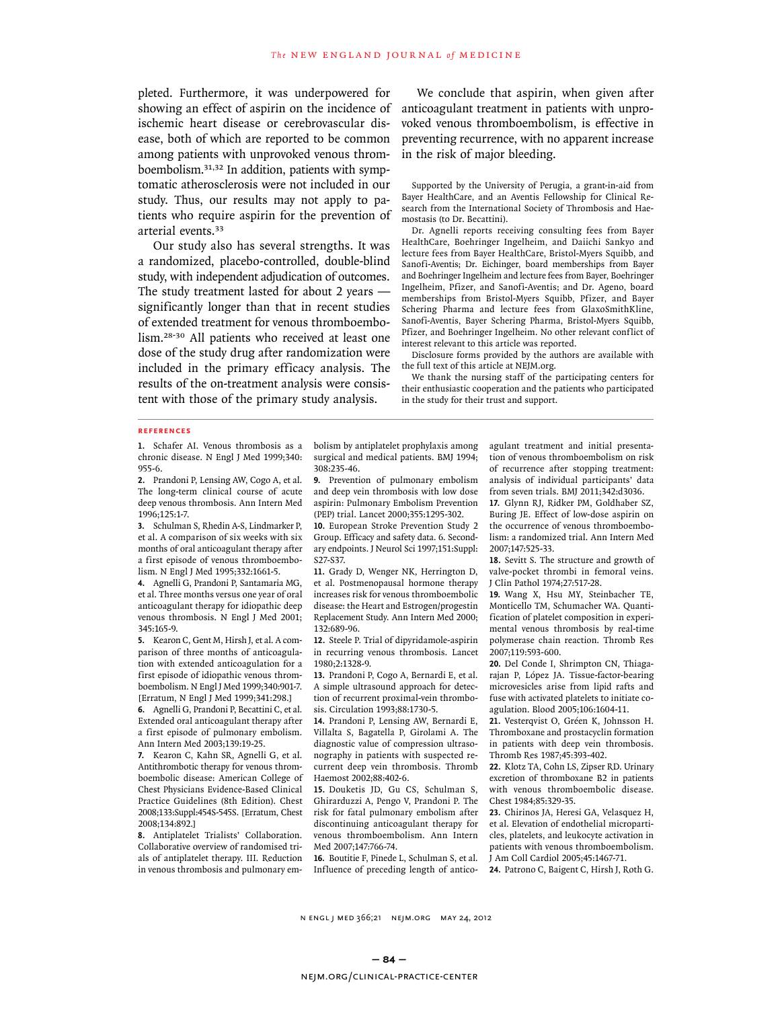pleted. Furthermore, it was underpowered for showing an effect of aspirin on the incidence of ischemic heart disease or cerebrovascular disease, both of which are reported to be common among patients with unprovoked venous thromboembolism.31,32 In addition, patients with symptomatic atherosclerosis were not included in our study. Thus, our results may not apply to patients who require aspirin for the prevention of arterial events.<sup>33</sup>

Our study also has several strengths. It was a randomized, placebo-controlled, double-blind study, with independent adjudication of outcomes. The study treatment lasted for about 2 years significantly longer than that in recent studies of extended treatment for venous thromboembolism.28-30 All patients who received at least one dose of the study drug after randomization were included in the primary efficacy analysis. The results of the on-treatment analysis were consistent with those of the primary study analysis.

We conclude that aspirin, when given after anticoagulant treatment in patients with unprovoked venous thromboembolism, is effective in preventing recurrence, with no apparent increase in the risk of major bleeding.

Supported by the University of Perugia, a grant-in-aid from Bayer HealthCare, and an Aventis Fellowship for Clinical Research from the International Society of Thrombosis and Haemostasis (to Dr. Becattini).

Dr. Agnelli reports receiving consulting fees from Bayer HealthCare, Boehringer Ingelheim, and Daiichi Sankyo and lecture fees from Bayer HealthCare, Bristol-Myers Squibb, and Sanofi-Aventis; Dr. Eichinger, board memberships from Bayer and Boehringer Ingelheim and lecture fees from Bayer, Boehringer Ingelheim, Pfizer, and Sanofi-Aventis; and Dr. Ageno, board memberships from Bristol-Myers Squibb, Pfizer, and Bayer Schering Pharma and lecture fees from GlaxoSmithKline, Sanofi-Aventis, Bayer Schering Pharma, Bristol-Myers Squibb, Pfizer, and Boehringer Ingelheim. No other relevant conflict of interest relevant to this article was reported.

Disclosure forms provided by the authors are available with the full text of this article at NEJM.org.

We thank the nursing staff of the participating centers for their enthusiastic cooperation and the patients who participated in the study for their trust and support.

#### **References**

**1.** Schafer AI. Venous thrombosis as a chronic disease. N Engl J Med 1999;340: 955-6.

**2.** Prandoni P, Lensing AW, Cogo A, et al. The long-term clinical course of acute deep venous thrombosis. Ann Intern Med 1996;125:1-7.

**3.** Schulman S, Rhedin A-S, Lindmarker P, et al. A comparison of six weeks with six months of oral anticoagulant therapy after a first episode of venous thromboembolism. N Engl J Med 1995;332:1661-5.

**4.** Agnelli G, Prandoni P, Santamaria MG, et al. Three months versus one year of oral anticoagulant therapy for idiopathic deep venous thrombosis. N Engl J Med 2001; 345:165-9.

**5.** Kearon C, Gent M, Hirsh J, et al. A comparison of three months of anticoagulation with extended anticoagulation for a first episode of idiopathic venous thromboembolism. N Engl J Med 1999;340:901-7. [Erratum, N Engl J Med 1999;341:298.]

**6.** Agnelli G, Prandoni P, Becattini C, et al. Extended oral anticoagulant therapy after a first episode of pulmonary embolism. Ann Intern Med 2003;139:19-25.

**7.** Kearon C, Kahn SR, Agnelli G, et al. Antithrombotic therapy for venous thromboembolic disease: American College of Chest Physicians Evidence-Based Clinical Practice Guidelines (8th Edition). Chest 2008;133:Suppl:454S-545S. [Erratum, Chest 2008;134:892.]

**8.** Antiplatelet Trialists' Collaboration. Collaborative overview of randomised trials of antiplatelet therapy. III. Reduction in venous thrombosis and pulmonary embolism by antiplatelet prophylaxis among surgical and medical patients. BMJ 1994; 308:235-46.

**9.** Prevention of pulmonary embolism and deep vein thrombosis with low dose aspirin: Pulmonary Embolism Prevention (PEP) trial. Lancet 2000;355:1295-302.

**10.** European Stroke Prevention Study 2 Group. Efficacy and safety data. 6. Secondary endpoints. J Neurol Sci 1997;151:Suppl: S27-S37.

**11.** Grady D, Wenger NK, Herrington D, et al. Postmenopausal hormone therapy increases risk for venous thromboembolic disease: the Heart and Estrogen/progestin Replacement Study. Ann Intern Med 2000; 132:689-96.

**12.** Steele P. Trial of dipyridamole-aspirin in recurring venous thrombosis. Lancet 1980;2:1328-9.

**13.** Prandoni P, Cogo A, Bernardi E, et al. A simple ultrasound approach for detection of recurrent proximal-vein thrombosis. Circulation 1993;88:1730-5.

**14.** Prandoni P, Lensing AW, Bernardi E, Villalta S, Bagatella P, Girolami A. The diagnostic value of compression ultrasonography in patients with suspected recurrent deep vein thrombosis. Thromb Haemost 2002;88:402-6.

**15.** Douketis JD, Gu CS, Schulman S, Ghirarduzzi A, Pengo V, Prandoni P. The risk for fatal pulmonary embolism after discontinuing anticoagulant therapy for venous thromboembolism. Ann Intern Med 2007;147:766-74.

**16.** Boutitie F, Pinede L, Schulman S, et al. Influence of preceding length of anticoagulant treatment and initial presentation of venous thromboembolism on risk of recurrence after stopping treatment: analysis of individual participants' data from seven trials. BMJ 2011;342:d3036.

**17.** Glynn RJ, Ridker PM, Goldhaber SZ, Buring JE. Effect of low-dose aspirin on the occurrence of venous thromboembolism: a randomized trial. Ann Intern Med 2007;147:525-33.

**18.** Sevitt S. The structure and growth of valve-pocket thrombi in femoral veins. J Clin Pathol 1974;27:517-28.

**19.** Wang X, Hsu MY, Steinbacher TE, Monticello TM, Schumacher WA. Quantification of platelet composition in experimental venous thrombosis by real-time polymerase chain reaction. Thromb Res 2007;119:593-600.

**20.** Del Conde I, Shrimpton CN, Thiagarajan P, López JA. Tissue-factor-bearing microvesicles arise from lipid rafts and fuse with activated platelets to initiate coagulation. Blood 2005;106:1604-11.

**21.** Vesterqvist O, Gréen K, Johnsson H. Thromboxane and prostacyclin formation in patients with deep vein thrombosis. Thromb Res 1987;45:393-402.

**22.** Klotz TA, Cohn LS, Zipser RD. Urinary excretion of thromboxane B2 in patients with venous thromboembolic disease. Chest 1984;85:329-35.

**23.** Chirinos JA, Heresi GA, Velasquez H, et al. Elevation of endothelial microparticles, platelets, and leukocyte activation in patients with venous thromboembolism. J Am Coll Cardiol 2005;45:1467-71.

**24.** Patrono C, Baigent C, Hirsh J, Roth G.